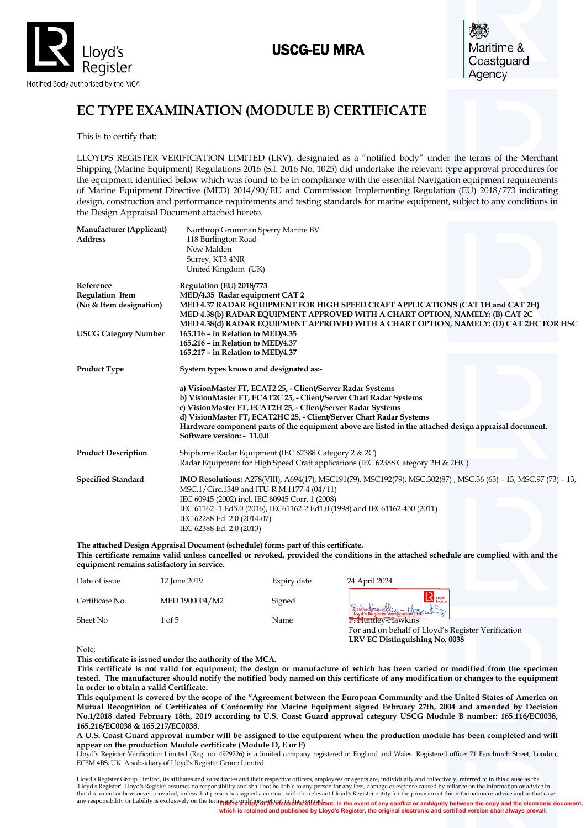

## USCG-EU MRA



# **EC TYPE EXAMINATION (MODULE B) CERTIFICATE**

This is to certify that:

LLOYD'S REGISTER VERIFICATION LIMITED (LRV), designated as a "notified body" under the terms of the Merchant Shipping (Marine Equipment) Regulations 2016 (S.I. 2016 No. 1025) did undertake the relevant type approval procedures for the equipment identified below which was found to be in compliance with the essential Navigation equipment requirements of Marine Equipment Directive (MED) 2014/90/EU and Commission Implementing Regulation (EU) 2018/773 indicating design, construction and performance requirements and testing standards for marine equipment, subject to any conditions in the Design Appraisal Document attached hereto.

| Manufacturer (Applicant)<br><b>Address</b>                     | Northrop Grumman Sperry Marine BV<br>118 Burlington Road<br>New Malden<br>Surrey, KT3 4NR<br>United Kingdom (UK)                                                                                                                                                                                                                                                                                                |
|----------------------------------------------------------------|-----------------------------------------------------------------------------------------------------------------------------------------------------------------------------------------------------------------------------------------------------------------------------------------------------------------------------------------------------------------------------------------------------------------|
| Reference<br><b>Regulation Item</b><br>(No & Item designation) | Regulation (EU) 2018/773<br>MED/4.35 Radar equipment CAT 2<br>MED 4.37 RADAR EQUIPMENT FOR HIGH SPEED CRAFT APPLICATIONS (CAT 1H and CAT 2H)<br>MED 4.38(b) RADAR EQUIPMENT APPROVED WITH A CHART OPTION, NAMELY: (B) CAT 2C<br>MED 4.38(d) RADAR EQUIPMENT APPROVED WITH A CHART OPTION, NAMELY: (D) CAT 2HC FOR HSC                                                                                           |
| <b>USCG Category Number</b>                                    | 165.116 - in Relation to MED/4.35<br>165.216 - in Relation to MED/4.37<br>165.217 - in Relation to MED/4.37                                                                                                                                                                                                                                                                                                     |
| <b>Product Type</b>                                            | System types known and designated as:-                                                                                                                                                                                                                                                                                                                                                                          |
|                                                                | a) VisionMaster FT, ECAT2 25, - Client/Server Radar Systems<br>b) VisionMaster FT, ECAT2C 25, - Client/Server Chart Radar Systems<br>c) VisionMaster FT, ECAT2H 25, - Client/Server Radar Systems<br>d) VisionMaster FT, ECAT2HC 25, - Client/Server Chart Radar Systems<br>Hardware component parts of the equipment above are listed in the attached design appraisal document.<br>Software version: - 11.0.0 |
| <b>Product Description</b>                                     | Shipborne Radar Equipment (IEC 62388 Category 2 & 2C)<br>Radar Equipment for High Speed Craft applications (IEC 62388 Category 2H & 2HC)                                                                                                                                                                                                                                                                        |
| <b>Specified Standard</b>                                      | IMO Resolutions: A278(VIII), A694(17), MSC191(79), MSC192(79), MSC.302(87), MSC.36 (63) - 13, MSC.97 (73) - 13,<br>MSC.1/Circ.1349 and ITU-R M.1177-4 (04/11)<br>IEC 60945 (2002) incl. IEC 60945 Corr. 1 (2008)<br>IEC 61162-1 Ed5.0 (2016), IEC61162-2 Ed1.0 (1998) and IEC61162-450 (2011)<br>IEC 62288 Ed. 2.0 (2014-07)<br>IEC 62388 Ed. 2.0 (2013)                                                        |

**The attached Design Appraisal Document (schedule) forms part of this certificate. This certificate remains valid unless cancelled or revoked, provided the conditions in the attached schedule are complied with and the equipment remains satisfactory in service.**

| Date of issue   | 12 June 2019   | Expiry date | 24 April 2024                                                                  |
|-----------------|----------------|-------------|--------------------------------------------------------------------------------|
| Certificate No. | MED 1900004/M2 | Signed      | $\mathbf{R}$ Lloyd's                                                           |
| Sheet No        | 1 of 5         | Name        | Buthamptor the Country - Homele Print<br><b>P</b> <sup>2</sup> Huntley-Hawkins |
|                 |                |             | For and on behalf of Lloyd's Register Verification                             |
|                 |                |             | LRV EC Distinguishing No. 0038                                                 |

Note:

**This certificate is issued under the authority of the MCA.** 

**This certificate is not valid for equipment; the design or manufacture of which has been varied or modified from the specimen tested. The manufacturer should notify the notified body named on this certificate of any modification or changes to the equipment in order to obtain a valid Certificate.**

**This equipment is covered by the scope of the "Agreement between the European Community and the United States of America on Mutual Recognition of Certificates of Conformity for Marine Equipment signed February 27th, 2004 and amended by Decision No.1/2018 dated February 18th, 2019 according to U.S. Coast Guard approval category USCG Module B number: 165.116/EC0038, 165.216/EC0038 & 165.217/EC0038.** 

**A U.S. Coast Guard approval number will be assigned to the equipment when the production module has been completed and will appear on the production Module certificate (Module D, E or F)**

Lloyd's Register Verification Limited (Reg. no. 4929226) is a limited company registered in England and Wales. Registered office: 71 Fenchurch Street, London, EC3M 4BS, UK. A subsidiary of Lloyd's Register Group Limited.

any responsibility or liability is exclusively on the terms and conditions set out in that contract. Lloyd's Register Group Limited, its affiliates and subsidiaries and their respective officers, employees or agents are, individually and collectively, referred to in this clause as the 'Lloyd's Register'. Lloyd's Register assumes no responsibility and shall not be liable to any person for any loss, damage or expense caused by reliance on the information or advice in<br>this document or howsoever provided, u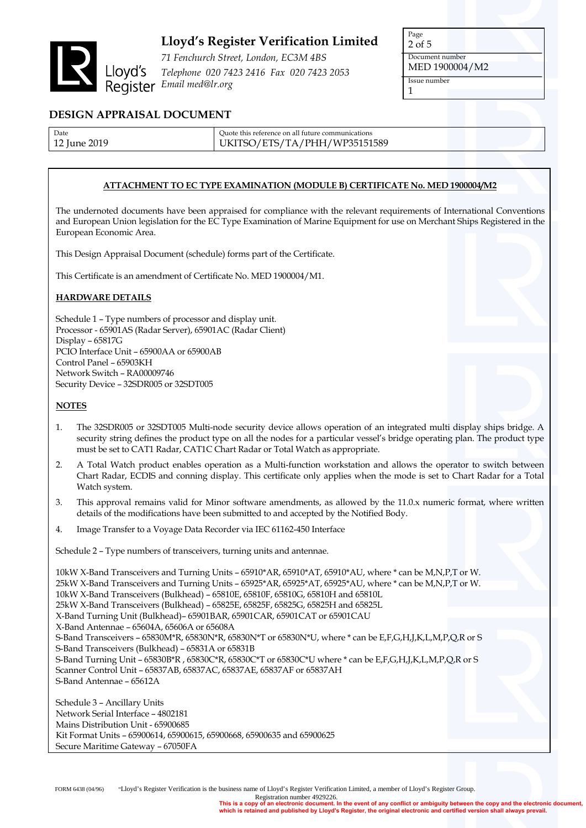

*71 Fenchurch Street, London, EC3M 4BS Telephone 020 7423 2416 Fax 020 7423 2053 Email med@lr.org*

Page 2 of 5 Document number MED 1900004/M2 Issue number 1

### **DESIGN APPRAISAL DOCUMENT**

| Date         | Quote this reference on all future communications |
|--------------|---------------------------------------------------|
| 12 June 2019 | UKITSO/ETS/TA/PHH/WP35151589                      |

### **ATTACHMENT TO EC TYPE EXAMINATION (MODULE B) CERTIFICATE No. MED 1900004/M2**

The undernoted documents have been appraised for compliance with the relevant requirements of International Conventions and European Union legislation for the EC Type Examination of Marine Equipment for use on Merchant Ships Registered in the European Economic Area.

This Design Appraisal Document (schedule) forms part of the Certificate.

This Certificate is an amendment of Certificate No. MED 1900004/M1.

### **HARDWARE DETAILS**

Schedule 1 – Type numbers of processor and display unit. Processor - 65901AS (Radar Server), 65901AC (Radar Client) Display – 65817G PCIO Interface Unit – 65900AA or 65900AB Control Panel – 65903KH Network Switch – RA00009746 Security Device – 32SDR005 or 32SDT005

#### **NOTES**

- 1. The 32SDR005 or 32SDT005 Multi-node security device allows operation of an integrated multi display ships bridge. A security string defines the product type on all the nodes for a particular vessel's bridge operating plan. The product type must be set to CAT1 Radar, CAT1C Chart Radar or Total Watch as appropriate.
- 2. A Total Watch product enables operation as a Multi-function workstation and allows the operator to switch between Chart Radar, ECDIS and conning display. This certificate only applies when the mode is set to Chart Radar for a Total Watch system.
- 3. This approval remains valid for Minor software amendments, as allowed by the 11.0.x numeric format, where written details of the modifications have been submitted to and accepted by the Notified Body.
- 4. Image Transfer to a Voyage Data Recorder via IEC 61162-450 Interface

Schedule 2 – Type numbers of transceivers, turning units and antennae.

10kW X-Band Transceivers and Turning Units – 65910\*AR, 65910\*AT, 65910\*AU, where \* can be M,N,P,T or W. 25kW X-Band Transceivers and Turning Units – 65925\*AR, 65925\*AT, 65925\*AU, where \* can be M,N,P,T or W. 10kW X-Band Transceivers (Bulkhead) – 65810E, 65810F, 65810G, 65810H and 65810L 25kW X-Band Transceivers (Bulkhead) – 65825E, 65825F, 65825G, 65825H and 65825L X-Band Turning Unit (Bulkhead)– 65901BAR, 65901CAR, 65901CAT or 65901CAU X-Band Antennae – 65604A, 65606A or 65608A S-Band Transceivers – 65830M\*R, 65830N\*R, 65830N\*T or 65830N\*U, where \* can be E,F,G,H,J,K,L,M,P,Q,R or S S-Band Transceivers (Bulkhead) – 65831A or 65831B S-Band Turning Unit – 65830B\*R , 65830C\*R, 65830C\*T or 65830C\*U where \* can be E,F,G,H,J,K,L,M,P,Q,R or S Scanner Control Unit – 65837AB, 65837AC, 65837AE, 65837AF or 65837AH S-Band Antennae – 65612A

Schedule 3 – Ancillary Units Network Serial Interface – 4802181 Mains Distribution Unit - 65900685 Kit Format Units – 65900614, 65900615, 65900668, 65900635 and 65900625 Secure Maritime Gateway – 67050FA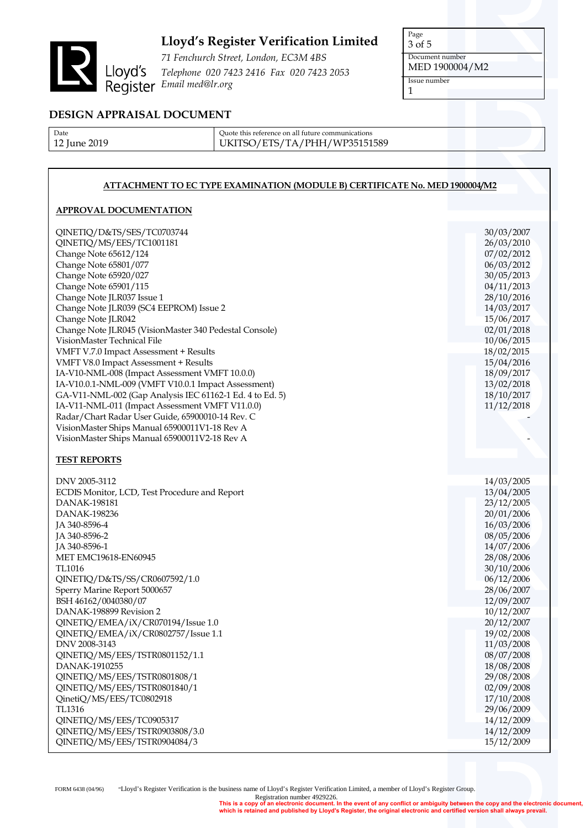

*71 Fenchurch Street, London, EC3M 4BS Telephone 020 7423 2416 Fax 020 7423 2053 Email med@lr.org*

Page 3 of 5 Document number MED 1900004/M2 Issue number

1

**DESIGN APPRAISAL DOCUMENT**

| Date         |
|--------------|
| 12 June 2019 |

Quote this reference on all future communications UKITSO/ETS/TA/PHH/WP35151589

### **ATTACHMENT TO EC TYPE EXAMINATION (MODULE B) CERTIFICATE No. MED 1900004/M2**

### **APPROVAL DOCUMENTATION**

| QINETIQ/D&TS/SES/TC0703744                               | 30/03/2007               |
|----------------------------------------------------------|--------------------------|
| QINETIQ/MS/EES/TC1001181                                 | 26/03/2010               |
| Change Note 65612/124                                    | 07/02/2012               |
| Change Note 65801/077                                    | 06/03/2012               |
| Change Note 65920/027                                    | 30/05/2013               |
| Change Note 65901/115                                    | 04/11/2013               |
| Change Note JLR037 Issue 1                               | 28/10/2016               |
| Change Note JLR039 (SC4 EEPROM) Issue 2                  | 14/03/2017               |
| Change Note JLR042                                       | 15/06/2017               |
| Change Note JLR045 (VisionMaster 340 Pedestal Console)   | 02/01/2018               |
| VisionMaster Technical File                              | 10/06/2015               |
| VMFT V.7.0 Impact Assessment + Results                   | 18/02/2015               |
| VMFT V8.0 Impact Assessment + Results                    | 15/04/2016               |
| IA-V10-NML-008 (Impact Assessment VMFT 10.0.0)           | 18/09/2017               |
| IA-V10.0.1-NML-009 (VMFT V10.0.1 Impact Assessment)      | 13/02/2018               |
| GA-V11-NML-002 (Gap Analysis IEC 61162-1 Ed. 4 to Ed. 5) | 18/10/2017               |
| IA-V11-NML-011 (Impact Assessment VMFT V11.0.0)          | 11/12/2018               |
| Radar/Chart Radar User Guide, 65900010-14 Rev. C         |                          |
| VisionMaster Ships Manual 65900011V1-18 Rev A            |                          |
| VisionMaster Ships Manual 65900011V2-18 Rev A            |                          |
|                                                          |                          |
| <b>TEST REPORTS</b>                                      |                          |
| DNV 2005-3112                                            | 14/03/2005               |
| ECDIS Monitor, LCD, Test Procedure and Report            | 13/04/2005               |
| <b>DANAK-198181</b>                                      | 23/12/2005               |
| DANAK-198236                                             | 20/01/2006               |
| JA 340-8596-4                                            | 16/03/2006               |
| JA 340-8596-2                                            | 08/05/2006               |
| JA 340-8596-1                                            | 14/07/2006               |
| MET EMC19618-EN60945                                     | 28/08/2006               |
| TL1016                                                   | 30/10/2006               |
| QINETIQ/D&TS/SS/CR0607592/1.0                            | 06/12/2006               |
| Sperry Marine Report 5000657                             | 28/06/2007               |
| BSH 46162/0040380/07                                     | 12/09/2007               |
| DANAK-198899 Revision 2                                  | 10/12/2007               |
| QINETIQ/EMEA/iX/CR070194/Issue 1.0                       | 20/12/2007               |
| QINETIQ/EMEA/iX/CR0802757/Issue 1.1                      |                          |
| DNV 2008-3143                                            | 19/02/2008<br>11/03/2008 |
| QINETIQ/MS/EES/TSTR0801152/1.1                           | 08/07/2008               |
| DANAK-1910255                                            |                          |
| QINETIQ/MS/EES/TSTR0801808/1                             | 18/08/2008               |
|                                                          | 29/08/2008               |
| QINETIQ/MS/EES/TSTR0801840/1                             | 02/09/2008               |
| QinetiQ/MS/EES/TC0802918                                 | 17/10/2008               |
| TL1316                                                   | 29/06/2009               |
| QINETIQ/MS/EES/TC0905317                                 | 14/12/2009               |
| QINETIQ/MS/EES/TSTR0903808/3.0                           | 14/12/2009               |
| QINETIQ/MS/EES/TSTR0904084/3                             | 15/12/2009               |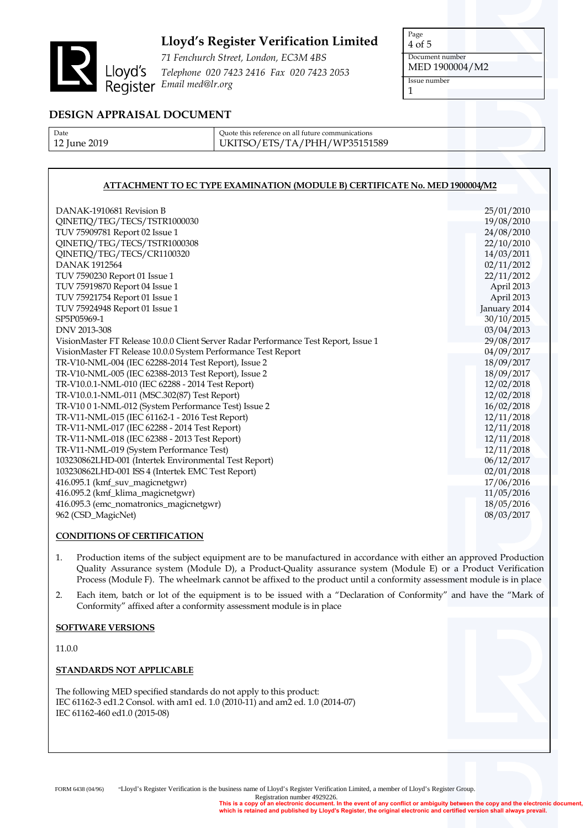

*71 Fenchurch Street, London, EC3M 4BS Telephone 020 7423 2416 Fax 020 7423 2053 Email med@lr.org*

Page 4 of 5 Document number MED 1900004/M2 Issue number 1

### **DESIGN APPRAISAL DOCUMENT**

| Date         |
|--------------|
| 12 June 2019 |

Quote this reference on all future communications UKITSO/ETS/TA/PHH/WP35151589

### **ATTACHMENT TO EC TYPE EXAMINATION (MODULE B) CERTIFICATE No. MED 1900004/M2**

| DANAK-1910681 Revision B                                                            | 25/01/2010   |
|-------------------------------------------------------------------------------------|--------------|
| QINETIQ/TEG/TECS/TSTR1000030                                                        | 19/08/2010   |
| TUV 75909781 Report 02 Issue 1                                                      | 24/08/2010   |
| QINETIQ/TEG/TECS/TSTR1000308                                                        | 22/10/2010   |
| QINETIQ/TEG/TECS/CR1100320                                                          | 14/03/2011   |
| <b>DANAK1912564</b>                                                                 | 02/11/2012   |
| TUV 7590230 Report 01 Issue 1                                                       | 22/11/2012   |
| TUV 75919870 Report 04 Issue 1                                                      | April 2013   |
| TUV 75921754 Report 01 Issue 1                                                      | April 2013   |
| TUV 75924948 Report 01 Issue 1                                                      | January 2014 |
| SP5P05969-1                                                                         | 30/10/2015   |
| DNV 2013-308                                                                        | 03/04/2013   |
| VisionMaster FT Release 10.0.0 Client Server Radar Performance Test Report, Issue 1 | 29/08/2017   |
| VisionMaster FT Release 10.0.0 System Performance Test Report                       | 04/09/2017   |
| TR-V10-NML-004 (IEC 62288-2014 Test Report), Issue 2                                | 18/09/2017   |
| TR-V10-NML-005 (IEC 62388-2013 Test Report), Issue 2                                | 18/09/2017   |
| TR-V10.0.1-NML-010 (IEC 62288 - 2014 Test Report)                                   | 12/02/2018   |
| TR-V10.0.1-NML-011 (MSC.302(87) Test Report)                                        | 12/02/2018   |
| TR-V10 0 1-NML-012 (System Performance Test) Issue 2                                | 16/02/2018   |
| TR-V11-NML-015 (IEC 61162-1 - 2016 Test Report)                                     | 12/11/2018   |
| TR-V11-NML-017 (IEC 62288 - 2014 Test Report)                                       | 12/11/2018   |
| TR-V11-NML-018 (IEC 62388 - 2013 Test Report)                                       | 12/11/2018   |
| TR-V11-NML-019 (System Performance Test)                                            | 12/11/2018   |
| 103230862LHD-001 (Intertek Environmental Test Report)                               | 06/12/2017   |
| 103230862LHD-001 ISS 4 (Intertek EMC Test Report)                                   | 02/01/2018   |
| 416.095.1 (kmf_suv_magicnetgwr)                                                     | 17/06/2016   |
| 416.095.2 (kmf_klima_magicnetgwr)                                                   | 11/05/2016   |
| 416.095.3 (emc_nomatronics_magicnetgwr)                                             | 18/05/2016   |
| 962 (CSD_MagicNet)                                                                  | 08/03/2017   |
|                                                                                     |              |

### **CONDITIONS OF CERTIFICATION**

- 1. Production items of the subject equipment are to be manufactured in accordance with either an approved Production Quality Assurance system (Module D), a Product-Quality assurance system (Module E) or a Product Verification Process (Module F). The wheelmark cannot be affixed to the product until a conformity assessment module is in place
- 2. Each item, batch or lot of the equipment is to be issued with a "Declaration of Conformity" and have the "Mark of Conformity" affixed after a conformity assessment module is in place

#### **SOFTWARE VERSIONS**

11.0.0

#### **STANDARDS NOT APPLICABLE**

The following MED specified standards do not apply to this product: IEC 61162-3 ed1.2 Consol. with am1 ed. 1.0 (2010-11) and am2 ed. 1.0 (2014-07) IEC 61162-460 ed1.0 (2015-08)